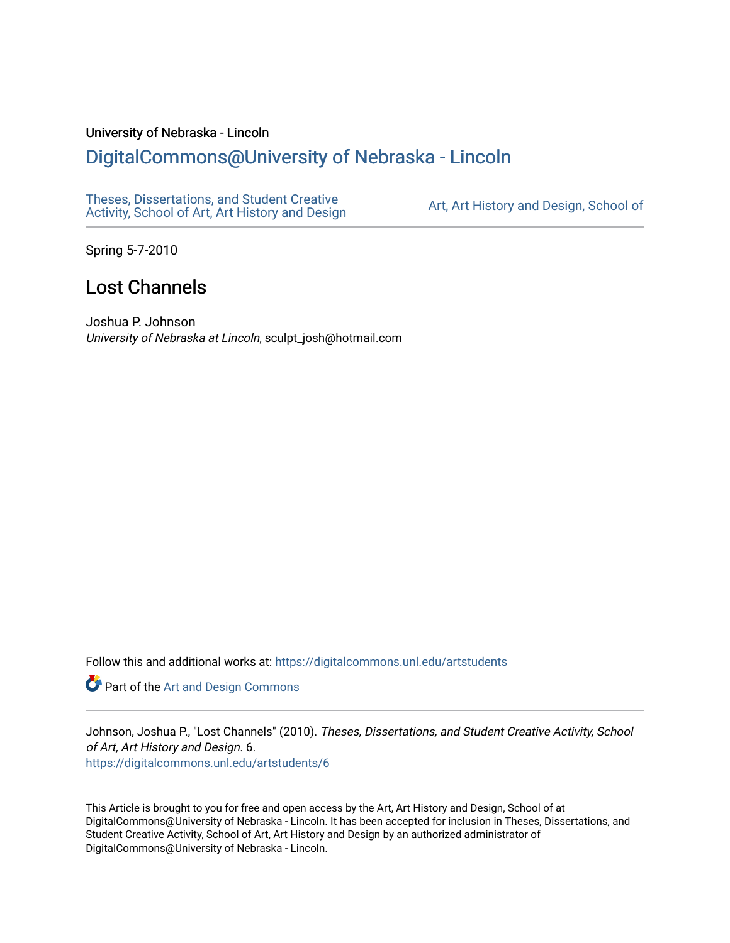#### University of Nebraska - Lincoln

## [DigitalCommons@University of Nebraska - Lincoln](https://digitalcommons.unl.edu/)

[Theses, Dissertations, and Student Creative](https://digitalcommons.unl.edu/artstudents)  [Activity, School of Art, Art History and Design](https://digitalcommons.unl.edu/artstudents) [Art, Art History and Design, School of](https://digitalcommons.unl.edu/art) 

Spring 5-7-2010

# Lost Channels

Joshua P. Johnson University of Nebraska at Lincoln, sculpt\_josh@hotmail.com

Follow this and additional works at: [https://digitalcommons.unl.edu/artstudents](https://digitalcommons.unl.edu/artstudents?utm_source=digitalcommons.unl.edu%2Fartstudents%2F6&utm_medium=PDF&utm_campaign=PDFCoverPages) 

Part of the [Art and Design Commons](http://network.bepress.com/hgg/discipline/1049?utm_source=digitalcommons.unl.edu%2Fartstudents%2F6&utm_medium=PDF&utm_campaign=PDFCoverPages)

Johnson, Joshua P., "Lost Channels" (2010). Theses, Dissertations, and Student Creative Activity, School of Art, Art History and Design. 6. [https://digitalcommons.unl.edu/artstudents/6](https://digitalcommons.unl.edu/artstudents/6?utm_source=digitalcommons.unl.edu%2Fartstudents%2F6&utm_medium=PDF&utm_campaign=PDFCoverPages) 

This Article is brought to you for free and open access by the Art, Art History and Design, School of at DigitalCommons@University of Nebraska - Lincoln. It has been accepted for inclusion in Theses, Dissertations, and Student Creative Activity, School of Art, Art History and Design by an authorized administrator of DigitalCommons@University of Nebraska - Lincoln.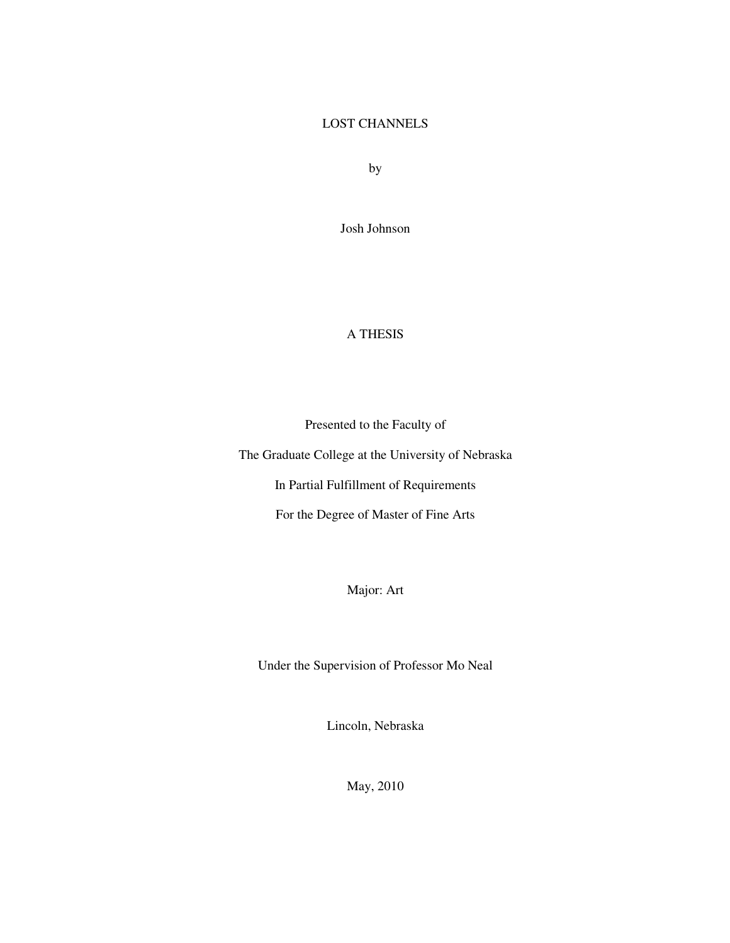#### LOST CHANNELS

by

Josh Johnson

### A THESIS

Presented to the Faculty of

The Graduate College at the University of Nebraska

In Partial Fulfillment of Requirements

For the Degree of Master of Fine Arts

Major: Art

Under the Supervision of Professor Mo Neal

Lincoln, Nebraska

May, 2010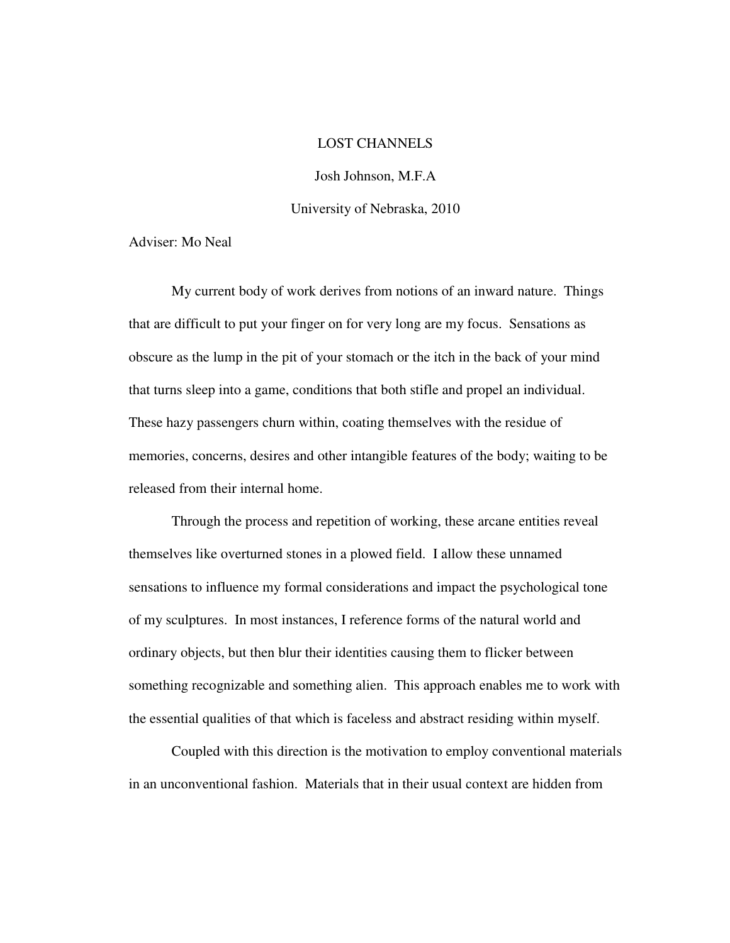#### LOST CHANNELS

Josh Johnson, M.F.A University of Nebraska, 2010

Adviser: Mo Neal

 My current body of work derives from notions of an inward nature. Things that are difficult to put your finger on for very long are my focus. Sensations as obscure as the lump in the pit of your stomach or the itch in the back of your mind that turns sleep into a game, conditions that both stifle and propel an individual. These hazy passengers churn within, coating themselves with the residue of memories, concerns, desires and other intangible features of the body; waiting to be released from their internal home.

 Through the process and repetition of working, these arcane entities reveal themselves like overturned stones in a plowed field. I allow these unnamed sensations to influence my formal considerations and impact the psychological tone of my sculptures. In most instances, I reference forms of the natural world and ordinary objects, but then blur their identities causing them to flicker between something recognizable and something alien. This approach enables me to work with the essential qualities of that which is faceless and abstract residing within myself.

 Coupled with this direction is the motivation to employ conventional materials in an unconventional fashion. Materials that in their usual context are hidden from